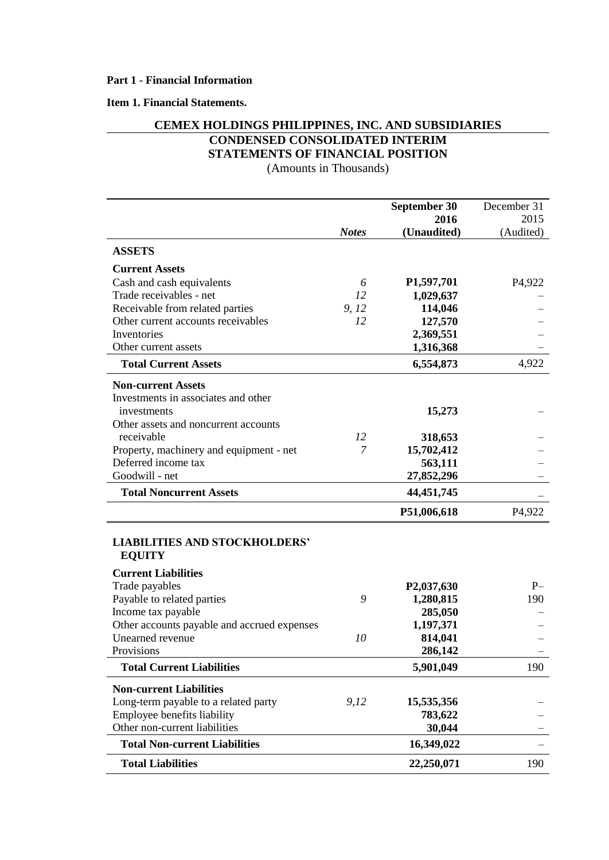## **Item 1. Financial Statements.**

# **CEMEX HOLDINGS PHILIPPINES, INC. AND SUBSIDIARIES CONDENSED CONSOLIDATED INTERIM STATEMENTS OF FINANCIAL POSITION**

(Amounts in Thousands)

|                                                       |              | September 30            | December 31         |
|-------------------------------------------------------|--------------|-------------------------|---------------------|
|                                                       |              | 2016                    | 2015                |
|                                                       | <b>Notes</b> | (Unaudited)             | (Audited)           |
| <b>ASSETS</b>                                         |              |                         |                     |
| <b>Current Assets</b>                                 |              |                         |                     |
| Cash and cash equivalents                             | 6            | P <sub>1</sub> ,597,701 | P <sub>4</sub> ,922 |
| Trade receivables - net                               | 12           | 1,029,637               |                     |
| Receivable from related parties                       | 9, 12        | 114,046                 |                     |
| Other current accounts receivables                    | 12           | 127,570                 |                     |
| Inventories                                           |              | 2,369,551               |                     |
| Other current assets                                  |              | 1,316,368               |                     |
| <b>Total Current Assets</b>                           |              | 6,554,873               | 4,922               |
| <b>Non-current Assets</b>                             |              |                         |                     |
| Investments in associates and other                   |              |                         |                     |
| investments                                           |              | 15,273                  |                     |
| Other assets and noncurrent accounts                  |              |                         |                     |
| receivable                                            | 12           | 318,653                 |                     |
| Property, machinery and equipment - net               | 7            | 15,702,412              |                     |
| Deferred income tax                                   |              | 563,111                 |                     |
| Goodwill - net                                        |              | 27,852,296              |                     |
| <b>Total Noncurrent Assets</b>                        |              | 44, 451, 745            |                     |
|                                                       |              | P51,006,618             | P4,922              |
| <b>LIABILITIES AND STOCKHOLDERS'</b><br><b>EQUITY</b> |              |                         |                     |
| <b>Current Liabilities</b>                            |              |                         |                     |
| Trade payables                                        |              | P <sub>2</sub> ,037,630 | $P-$                |
| Payable to related parties                            | 9            | 1,280,815               | 190                 |
| Income tax payable                                    |              | 285,050                 |                     |
| Other accounts payable and accrued expenses           |              | 1,197,371               |                     |
| Unearned revenue                                      | 10           | 814,041                 |                     |
| Provisions                                            |              | 286,142                 |                     |
| <b>Total Current Liabilities</b>                      |              | 5,901,049               | 190                 |
| <b>Non-current Liabilities</b>                        |              |                         |                     |
| Long-term payable to a related party                  | 9,12         | 15,535,356              |                     |
| Employee benefits liability                           |              | 783,622                 |                     |
| Other non-current liabilities                         |              | 30,044                  |                     |
| <b>Total Non-current Liabilities</b>                  |              | 16,349,022              |                     |
| <b>Total Liabilities</b>                              |              | 22,250,071              | 190                 |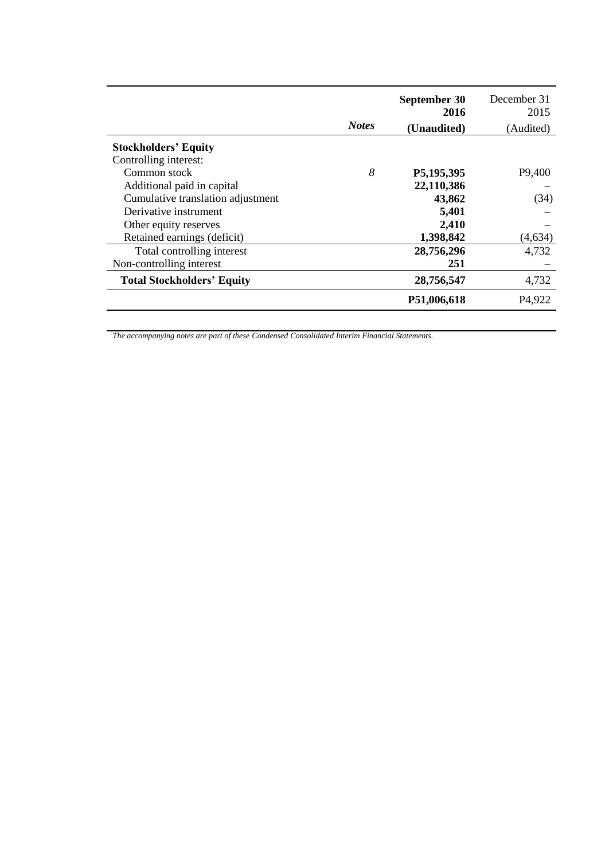|                                   | <b>Notes</b> | September 30<br>2016<br>(Unaudited) | December 31<br>2015<br>(Audited) |
|-----------------------------------|--------------|-------------------------------------|----------------------------------|
| <b>Stockholders' Equity</b>       |              |                                     |                                  |
| Controlling interest:             |              |                                     |                                  |
| Common stock                      | 8            | P5,195,395                          | P <sub>9</sub> ,400              |
| Additional paid in capital        |              | 22,110,386                          |                                  |
| Cumulative translation adjustment |              | 43,862                              | (34)                             |
| Derivative instrument             |              | 5,401                               |                                  |
| Other equity reserves             |              | 2,410                               |                                  |
| Retained earnings (deficit)       |              | 1,398,842                           | (4, 634)                         |
| Total controlling interest        |              | 28,756,296                          | 4.732                            |
| Non-controlling interest          |              | 251                                 |                                  |
| <b>Total Stockholders' Equity</b> |              | 28,756,547                          | 4,732                            |
|                                   |              | P51,006,618                         | P <sub>4</sub> ,922              |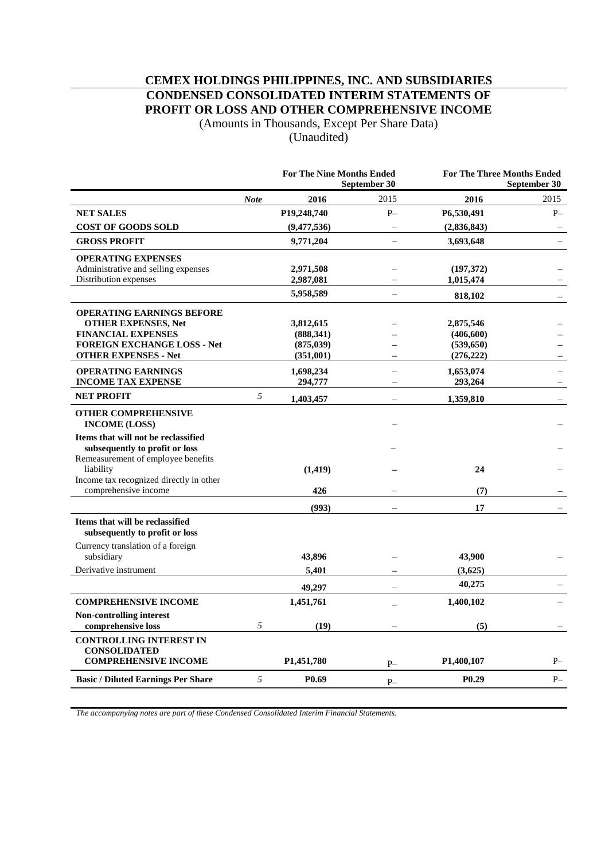# **CEMEX HOLDINGS PHILIPPINES, INC. AND SUBSIDIARIES CONDENSED CONSOLIDATED INTERIM STATEMENTS OF PROFIT OR LOSS AND OTHER COMPREHENSIVE INCOME**

(Amounts in Thousands, Except Per Share Data) (Unaudited)

|                                                                                                             |             | <b>For The Nine Months Ended</b><br>September 30 |                          |                   | <b>For The Three Months Ended</b><br>September 30 |
|-------------------------------------------------------------------------------------------------------------|-------------|--------------------------------------------------|--------------------------|-------------------|---------------------------------------------------|
|                                                                                                             | <b>Note</b> | 2016                                             | 2015                     | 2016              | 2015                                              |
| <b>NET SALES</b>                                                                                            |             | P19,248,740                                      | $P-$                     | P6,530,491        | $P-$                                              |
| <b>COST OF GOODS SOLD</b>                                                                                   |             | (9,477,536)                                      |                          | (2,836,843)       |                                                   |
| <b>GROSS PROFIT</b>                                                                                         |             | 9,771,204                                        | $\overline{\phantom{0}}$ | 3,693,648         | $\overline{\phantom{0}}$                          |
| <b>OPERATING EXPENSES</b>                                                                                   |             |                                                  |                          |                   |                                                   |
| Administrative and selling expenses                                                                         |             | 2,971,508                                        |                          | (197,372)         |                                                   |
| Distribution expenses                                                                                       |             | 2,987,081                                        |                          | 1,015,474         |                                                   |
|                                                                                                             |             | 5,958,589                                        | $\overline{a}$           | 818,102           |                                                   |
| <b>OPERATING EARNINGS BEFORE</b>                                                                            |             |                                                  |                          |                   |                                                   |
| <b>OTHER EXPENSES, Net</b>                                                                                  |             | 3,812,615                                        |                          | 2,875,546         |                                                   |
| <b>FINANCIAL EXPENSES</b>                                                                                   |             | (888, 341)                                       |                          | (406, 600)        |                                                   |
| <b>FOREIGN EXCHANGE LOSS - Net</b>                                                                          |             | (875, 039)                                       |                          | (539, 650)        |                                                   |
| <b>OTHER EXPENSES - Net</b>                                                                                 |             | (351,001)                                        |                          | (276, 222)        |                                                   |
| <b>OPERATING EARNINGS</b>                                                                                   |             | 1,698,234                                        |                          | 1,653,074         |                                                   |
| <b>INCOME TAX EXPENSE</b>                                                                                   |             | 294,777                                          |                          | 293,264           |                                                   |
| <b>NET PROFIT</b>                                                                                           | 5           | 1,403,457                                        |                          | 1,359,810         |                                                   |
| <b>OTHER COMPREHENSIVE</b><br><b>INCOME (LOSS)</b>                                                          |             |                                                  |                          |                   |                                                   |
| Items that will not be reclassified<br>subsequently to profit or loss<br>Remeasurement of employee benefits |             |                                                  |                          |                   |                                                   |
| liability                                                                                                   |             | (1, 419)                                         |                          | 24                |                                                   |
| Income tax recognized directly in other                                                                     |             |                                                  |                          |                   |                                                   |
| comprehensive income                                                                                        |             | 426                                              |                          | (7)               |                                                   |
|                                                                                                             |             | (993)                                            |                          | 17                |                                                   |
| Items that will be reclassified<br>subsequently to profit or loss                                           |             |                                                  |                          |                   |                                                   |
| Currency translation of a foreign                                                                           |             |                                                  |                          |                   |                                                   |
| subsidiary                                                                                                  |             | 43,896                                           |                          | 43,900            |                                                   |
| Derivative instrument                                                                                       |             | 5,401                                            |                          | (3,625)           |                                                   |
|                                                                                                             |             | 49,297                                           |                          | 40,275            |                                                   |
| <b>COMPREHENSIVE INCOME</b>                                                                                 |             | 1,451,761                                        |                          | 1,400,102         |                                                   |
| Non-controlling interest<br>comprehensive loss                                                              | 5           | (19)                                             |                          | (5)               |                                                   |
| <b>CONTROLLING INTEREST IN</b>                                                                              |             |                                                  |                          |                   |                                                   |
| <b>CONSOLIDATED</b><br><b>COMPREHENSIVE INCOME</b>                                                          |             | P <sub>1</sub> ,451,780                          | $P-$                     | P1,400,107        | $P-$                                              |
| <b>Basic / Diluted Earnings Per Share</b>                                                                   | 5           | P <sub>0.69</sub>                                | $P-$                     | P <sub>0.29</sub> | $P-$                                              |
|                                                                                                             |             |                                                  |                          |                   |                                                   |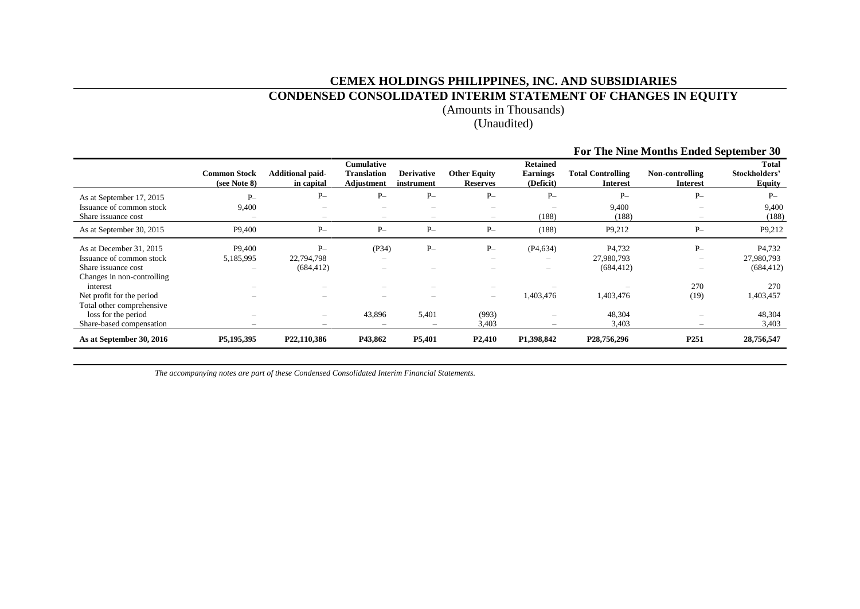## **CEMEX HOLDINGS PHILIPPINES, INC. AND SUBSIDIARIES**

# **CONDENSED CONSOLIDATED INTERIM STATEMENT OF CHANGES IN EQUITY**

(Amounts in Thousands)

# (Unaudited)

|                                                 |                                     |                                       |                                                       |                                                      |                                        |                                                 |                                             | For The Nine Months Ended September 30 |                                                |
|-------------------------------------------------|-------------------------------------|---------------------------------------|-------------------------------------------------------|------------------------------------------------------|----------------------------------------|-------------------------------------------------|---------------------------------------------|----------------------------------------|------------------------------------------------|
|                                                 | <b>Common Stock</b><br>(see Note 8) | <b>Additional paid-</b><br>in capital | <b>Cumulative</b><br><b>Translation</b><br>Adjustment | <b>Derivative</b><br>instrument                      | <b>Other Equity</b><br><b>Reserves</b> | <b>Retained</b><br><b>Earnings</b><br>(Deficit) | <b>Total Controlling</b><br><b>Interest</b> | Non-controlling<br><b>Interest</b>     | <b>Total</b><br>Stockholders'<br><b>Equity</b> |
| As at September 17, 2015                        | $P-$                                | $P-$                                  | $P-$                                                  | $P-$                                                 | $P-$                                   | $P-$                                            | $P-$                                        | $P-$                                   | $P-$                                           |
| Issuance of common stock<br>Share issuance cost | 9,400                               | -<br>$-$                              | $\overline{\phantom{0}}$<br>-                         | $\overline{\phantom{0}}$<br>$\overline{\phantom{m}}$ | -<br>$-$                               | -<br>(188)                                      | 9,400<br>(188)                              | -<br>-                                 | 9,400<br>(188)                                 |
| As at September 30, 2015                        | P9,400                              | $P-$                                  | $P-$                                                  | $P-$                                                 | $P-$                                   | (188)                                           | P9,212                                      | $P-$                                   | P9,212                                         |
| As at December 31, 2015                         | P9,400                              | $P-$                                  | (P34)                                                 | $P-$                                                 | $P-$                                   | (P4, 634)                                       | P <sub>4</sub> ,732                         | $P-$                                   | P <sub>4.732</sub>                             |
| Issuance of common stock                        | 5,185,995                           | 22,794,798                            |                                                       |                                                      | $\qquad \qquad \blacksquare$           |                                                 | 27,980,793                                  | -                                      | 27,980,793                                     |
| Share issuance cost                             |                                     | (684, 412)                            | -                                                     |                                                      |                                        |                                                 | (684, 412)                                  | -                                      | (684, 412)                                     |
| Changes in non-controlling<br>interest          |                                     |                                       |                                                       |                                                      |                                        |                                                 |                                             | 270                                    | 270                                            |
| Net profit for the period                       |                                     |                                       | -                                                     |                                                      | $\overline{\phantom{m}}$               | 1,403,476                                       | 1,403,476                                   | (19)                                   | 1,403,457                                      |
| Total other comprehensive                       |                                     |                                       |                                                       |                                                      |                                        |                                                 |                                             |                                        |                                                |
| loss for the period                             |                                     | -                                     | 43,896                                                | 5,401                                                | (993)                                  |                                                 | 48,304                                      |                                        | 48,304                                         |
| Share-based compensation                        |                                     |                                       | -                                                     |                                                      | 3,403                                  |                                                 | 3,403                                       | -                                      | 3,403                                          |
| As at September 30, 2016                        | P5,195,395                          | P22,110,386                           | P43,862                                               | P5,401                                               | P <sub>2</sub> ,410                    | P1,398,842                                      | P28,756,296                                 | P <sub>251</sub>                       | 28,756,547                                     |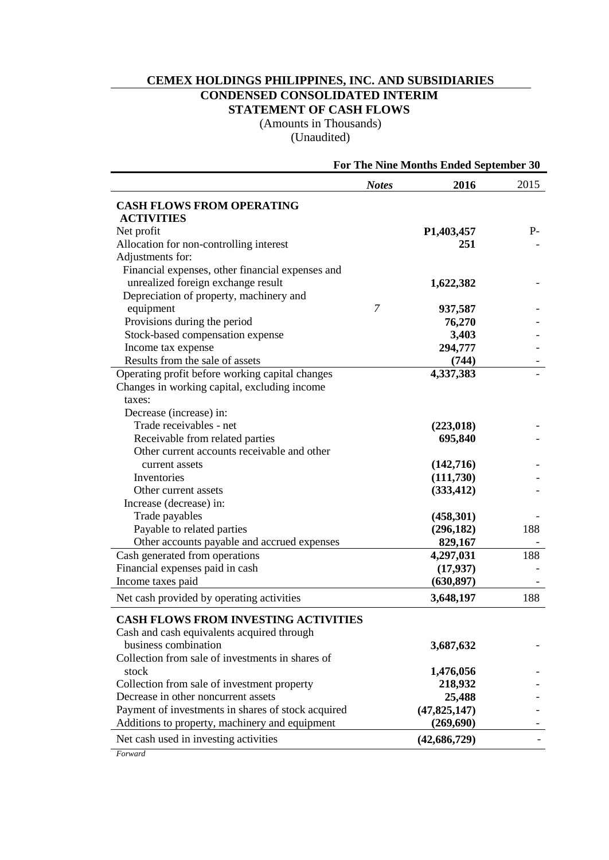# **CEMEX HOLDINGS PHILIPPINES, INC. AND SUBSIDIARIES CONDENSED CONSOLIDATED INTERIM STATEMENT OF CASH FLOWS**

(Amounts in Thousands) (Unaudited)

|                                                                                                 |              | For The Nine Months Ended September 30 |      |
|-------------------------------------------------------------------------------------------------|--------------|----------------------------------------|------|
|                                                                                                 | <b>Notes</b> | 2016                                   | 2015 |
| <b>CASH FLOWS FROM OPERATING</b>                                                                |              |                                        |      |
| <b>ACTIVITIES</b>                                                                               |              |                                        |      |
| Net profit                                                                                      |              | P <sub>1</sub> ,403,457                | $P-$ |
| Allocation for non-controlling interest                                                         |              | 251                                    |      |
| Adjustments for:                                                                                |              |                                        |      |
| Financial expenses, other financial expenses and                                                |              |                                        |      |
| unrealized foreign exchange result                                                              |              | 1,622,382                              |      |
| Depreciation of property, machinery and                                                         |              |                                        |      |
| equipment                                                                                       | 7            | 937,587                                |      |
| Provisions during the period                                                                    |              | 76,270                                 |      |
| Stock-based compensation expense                                                                |              | 3,403                                  |      |
| Income tax expense                                                                              |              | 294,777<br>(744)                       |      |
| Results from the sale of assets                                                                 |              | 4,337,383                              |      |
| Operating profit before working capital changes<br>Changes in working capital, excluding income |              |                                        |      |
| taxes:                                                                                          |              |                                        |      |
| Decrease (increase) in:                                                                         |              |                                        |      |
| Trade receivables - net                                                                         |              | (223, 018)                             |      |
| Receivable from related parties                                                                 |              | 695,840                                |      |
| Other current accounts receivable and other                                                     |              |                                        |      |
| current assets                                                                                  |              | (142,716)                              |      |
| Inventories                                                                                     |              | (111,730)                              |      |
| Other current assets                                                                            |              | (333, 412)                             |      |
| Increase (decrease) in:                                                                         |              |                                        |      |
| Trade payables                                                                                  |              | (458, 301)                             |      |
| Payable to related parties                                                                      |              | (296, 182)                             | 188  |
| Other accounts payable and accrued expenses                                                     |              | 829,167                                |      |
| Cash generated from operations                                                                  |              | 4,297,031                              | 188  |
| Financial expenses paid in cash                                                                 |              | (17, 937)                              |      |
| Income taxes paid                                                                               |              | (630, 897)                             |      |
| Net cash provided by operating activities                                                       |              | 3,648,197                              | 188  |
| <b>CASH FLOWS FROM INVESTING ACTIVITIES</b>                                                     |              |                                        |      |
| Cash and cash equivalents acquired through                                                      |              |                                        |      |
| business combination                                                                            |              | 3,687,632                              |      |
| Collection from sale of investments in shares of                                                |              |                                        |      |
| stock                                                                                           |              | 1,476,056                              |      |
| Collection from sale of investment property                                                     |              | 218,932                                |      |
| Decrease in other noncurrent assets                                                             |              | 25,488                                 |      |
| Payment of investments in shares of stock acquired                                              |              | (47, 825, 147)                         |      |
| Additions to property, machinery and equipment                                                  |              | (269, 690)                             |      |
| Net cash used in investing activities                                                           |              | (42, 686, 729)                         |      |

*Forward*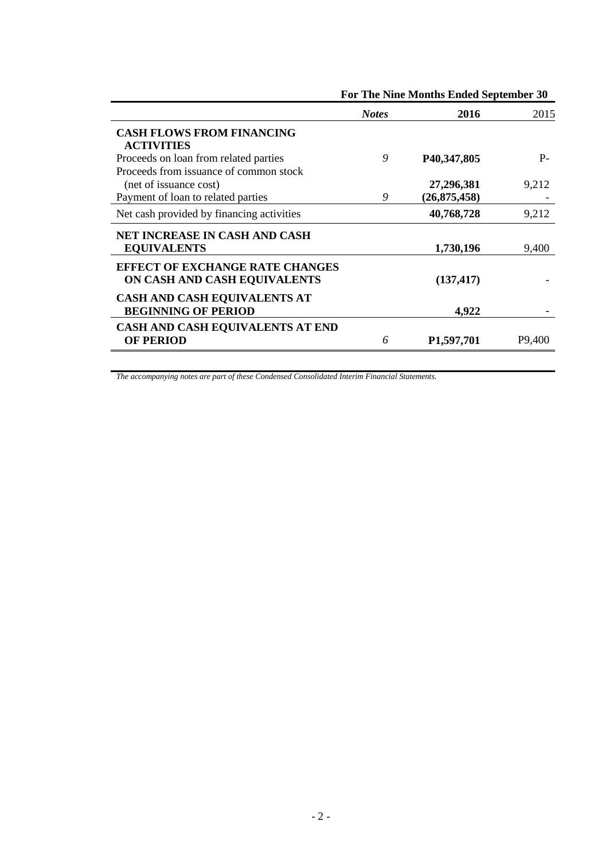|                                                                        |              | For The Nine Months Ended September 30 |                     |  |  |
|------------------------------------------------------------------------|--------------|----------------------------------------|---------------------|--|--|
|                                                                        | <b>Notes</b> | 2016                                   | 2015                |  |  |
| <b>CASH FLOWS FROM FINANCING</b><br><b>ACTIVITIES</b>                  |              |                                        |                     |  |  |
| Proceeds on loan from related parties                                  | 9            | P40,347,805                            | $P -$               |  |  |
| Proceeds from issuance of common stock                                 |              |                                        |                     |  |  |
| (net of issuance cost)                                                 |              | 27,296,381                             | 9,212               |  |  |
| Payment of loan to related parties                                     | 9            | (26, 875, 458)                         |                     |  |  |
| Net cash provided by financing activities                              |              | 40,768,728                             | 9,212               |  |  |
| NET INCREASE IN CASH AND CASH                                          |              |                                        |                     |  |  |
| <b>EQUIVALENTS</b>                                                     |              | 1,730,196                              | 9,400               |  |  |
| <b>EFFECT OF EXCHANGE RATE CHANGES</b><br>ON CASH AND CASH EQUIVALENTS |              | (137, 417)                             |                     |  |  |
| CASH AND CASH EQUIVALENTS AT<br><b>BEGINNING OF PERIOD</b>             |              | 4,922                                  |                     |  |  |
| CASH AND CASH EQUIVALENTS AT END                                       |              |                                        |                     |  |  |
| <b>OF PERIOD</b>                                                       | 6            | P <sub>1</sub> ,597,701                | P <sub>9</sub> ,400 |  |  |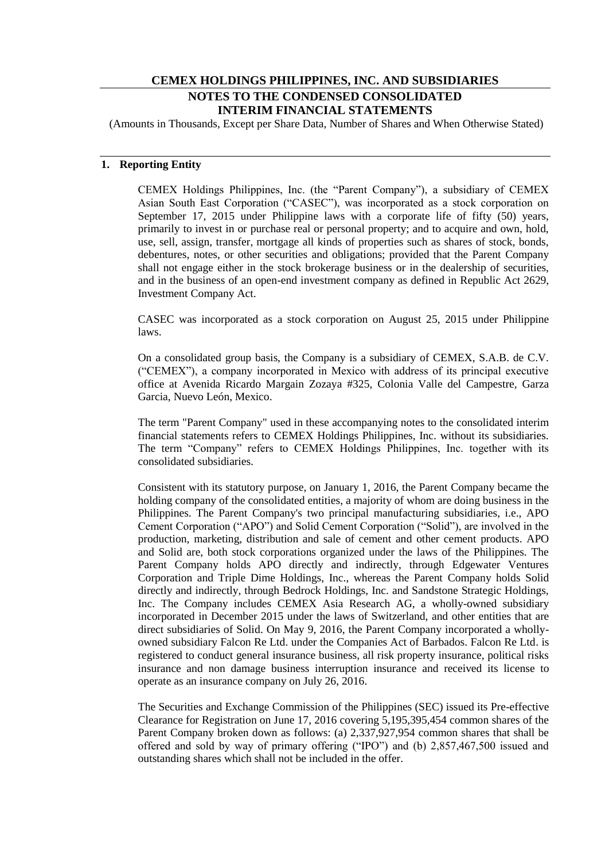# **CEMEX HOLDINGS PHILIPPINES, INC. AND SUBSIDIARIES NOTES TO THE CONDENSED CONSOLIDATED INTERIM FINANCIAL STATEMENTS**

(Amounts in Thousands, Except per Share Data, Number of Shares and When Otherwise Stated)

## **1. Reporting Entity**

CEMEX Holdings Philippines, Inc. (the "Parent Company"), a subsidiary of CEMEX Asian South East Corporation ("CASEC"), was incorporated as a stock corporation on September 17, 2015 under Philippine laws with a corporate life of fifty (50) years, primarily to invest in or purchase real or personal property; and to acquire and own, hold, use, sell, assign, transfer, mortgage all kinds of properties such as shares of stock, bonds, debentures, notes, or other securities and obligations; provided that the Parent Company shall not engage either in the stock brokerage business or in the dealership of securities, and in the business of an open-end investment company as defined in Republic Act 2629, Investment Company Act.

CASEC was incorporated as a stock corporation on August 25, 2015 under Philippine laws.

On a consolidated group basis, the Company is a subsidiary of CEMEX, S.A.B. de C.V. ("CEMEX"), a company incorporated in Mexico with address of its principal executive office at Avenida Ricardo Margain Zozaya #325, Colonia Valle del Campestre, Garza Garcia, Nuevo León, Mexico.

The term "Parent Company" used in these accompanying notes to the consolidated interim financial statements refers to CEMEX Holdings Philippines, Inc. without its subsidiaries. The term "Company" refers to CEMEX Holdings Philippines, Inc. together with its consolidated subsidiaries.

Consistent with its statutory purpose, on January 1, 2016, the Parent Company became the holding company of the consolidated entities, a majority of whom are doing business in the Philippines. The Parent Company's two principal manufacturing subsidiaries, i.e., APO Cement Corporation ("APO") and Solid Cement Corporation ("Solid"), are involved in the production, marketing, distribution and sale of cement and other cement products. APO and Solid are, both stock corporations organized under the laws of the Philippines. The Parent Company holds APO directly and indirectly, through Edgewater Ventures Corporation and Triple Dime Holdings, Inc., whereas the Parent Company holds Solid directly and indirectly, through Bedrock Holdings, Inc. and Sandstone Strategic Holdings, Inc. The Company includes CEMEX Asia Research AG, a wholly-owned subsidiary incorporated in December 2015 under the laws of Switzerland, and other entities that are direct subsidiaries of Solid. On May 9, 2016, the Parent Company incorporated a whollyowned subsidiary Falcon Re Ltd. under the Companies Act of Barbados. Falcon Re Ltd. is registered to conduct general insurance business, all risk property insurance, political risks insurance and non damage business interruption insurance and received its license to operate as an insurance company on July 26, 2016.

The Securities and Exchange Commission of the Philippines (SEC) issued its Pre-effective Clearance for Registration on June 17, 2016 covering 5,195,395,454 common shares of the Parent Company broken down as follows: (a) 2,337,927,954 common shares that shall be offered and sold by way of primary offering ("IPO") and (b) 2,857,467,500 issued and outstanding shares which shall not be included in the offer.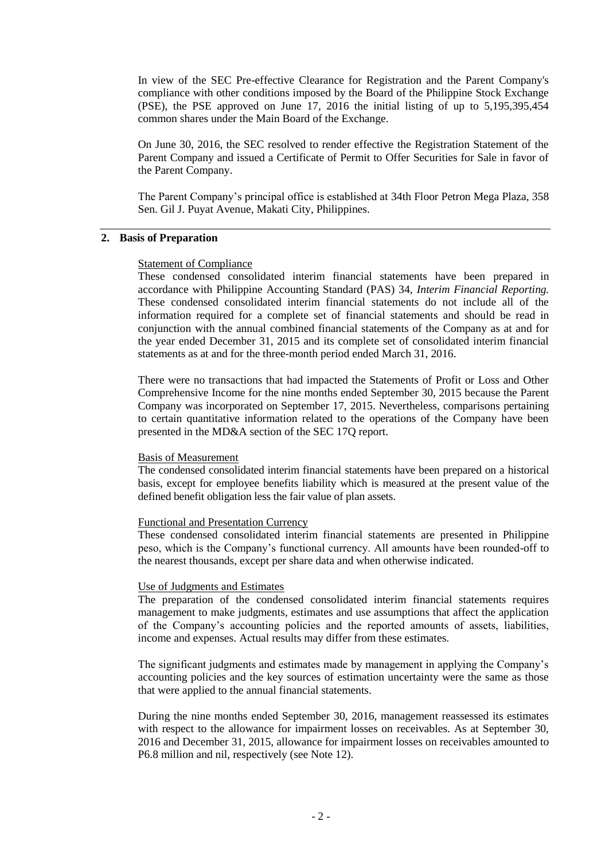In view of the SEC Pre-effective Clearance for Registration and the Parent Company's compliance with other conditions imposed by the Board of the Philippine Stock Exchange (PSE), the PSE approved on June 17, 2016 the initial listing of up to 5,195,395,454 common shares under the Main Board of the Exchange.

On June 30, 2016, the SEC resolved to render effective the Registration Statement of the Parent Company and issued a Certificate of Permit to Offer Securities for Sale in favor of the Parent Company.

The Parent Company"s principal office is established at 34th Floor Petron Mega Plaza, 358 Sen. Gil J. Puyat Avenue, Makati City, Philippines.

#### **2. Basis of Preparation**

#### Statement of Compliance

These condensed consolidated interim financial statements have been prepared in accordance with Philippine Accounting Standard (PAS) 34, *Interim Financial Reporting.*  These condensed consolidated interim financial statements do not include all of the information required for a complete set of financial statements and should be read in conjunction with the annual combined financial statements of the Company as at and for the year ended December 31, 2015 and its complete set of consolidated interim financial statements as at and for the three-month period ended March 31, 2016.

There were no transactions that had impacted the Statements of Profit or Loss and Other Comprehensive Income for the nine months ended September 30, 2015 because the Parent Company was incorporated on September 17, 2015. Nevertheless, comparisons pertaining to certain quantitative information related to the operations of the Company have been presented in the MD&A section of the SEC 17Q report.

#### Basis of Measurement

The condensed consolidated interim financial statements have been prepared on a historical basis, except for employee benefits liability which is measured at the present value of the defined benefit obligation less the fair value of plan assets.

#### Functional and Presentation Currency

These condensed consolidated interim financial statements are presented in Philippine peso, which is the Company"s functional currency. All amounts have been rounded-off to the nearest thousands, except per share data and when otherwise indicated.

#### Use of Judgments and Estimates

The preparation of the condensed consolidated interim financial statements requires management to make judgments, estimates and use assumptions that affect the application of the Company"s accounting policies and the reported amounts of assets, liabilities, income and expenses. Actual results may differ from these estimates.

The significant judgments and estimates made by management in applying the Company"s accounting policies and the key sources of estimation uncertainty were the same as those that were applied to the annual financial statements.

During the nine months ended September 30, 2016, management reassessed its estimates with respect to the allowance for impairment losses on receivables. As at September 30, 2016 and December 31, 2015, allowance for impairment losses on receivables amounted to P6.8 million and nil, respectively (see Note 12).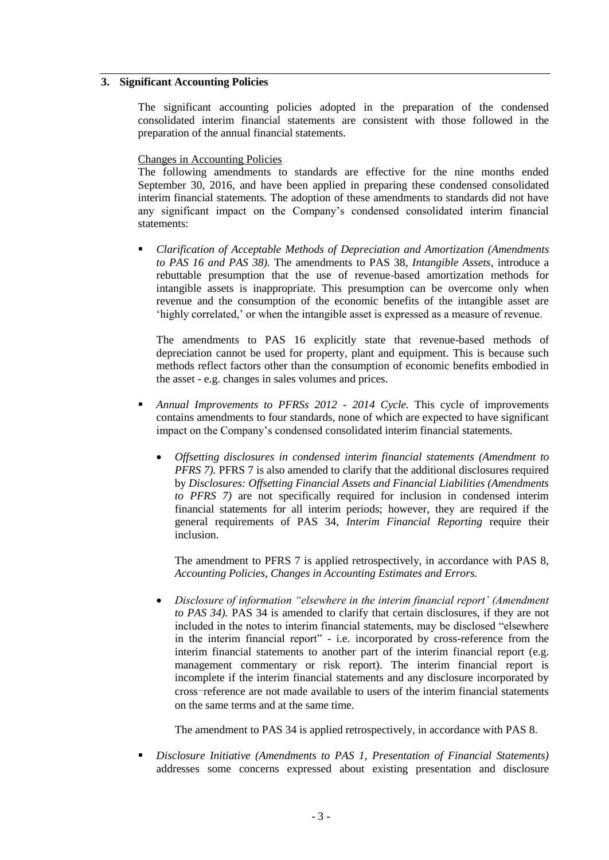### **3. Significant Accounting Policies**

The significant accounting policies adopted in the preparation of the condensed consolidated interim financial statements are consistent with those followed in the preparation of the annual financial statements.

#### Changes in Accounting Policies

The following amendments to standards are effective for the nine months ended September 30, 2016, and have been applied in preparing these condensed consolidated interim financial statements. The adoption of these amendments to standards did not have any significant impact on the Company"s condensed consolidated interim financial statements:

 *Clarification of Acceptable Methods of Depreciation and Amortization (Amendments to PAS 16 and PAS 38).* The amendments to PAS 38, *Intangible Assets*, introduce a rebuttable presumption that the use of revenue-based amortization methods for intangible assets is inappropriate. This presumption can be overcome only when revenue and the consumption of the economic benefits of the intangible asset are 'highly correlated,' or when the intangible asset is expressed as a measure of revenue.

The amendments to PAS 16 explicitly state that revenue-based methods of depreciation cannot be used for property, plant and equipment. This is because such methods reflect factors other than the consumption of economic benefits embodied in the asset - e.g. changes in sales volumes and prices.

- *Annual Improvements to PFRSs 2012 - 2014 Cycle.* This cycle of improvements contains amendments to four standards, none of which are expected to have significant impact on the Company"s condensed consolidated interim financial statements.
	- *Offsetting disclosures in condensed interim financial statements (Amendment to PFRS 7).* PFRS 7 is also amended to clarify that the additional disclosures required by *Disclosures: Offsetting Financial Assets and Financial Liabilities (Amendments to PFRS 7)* are not specifically required for inclusion in condensed interim financial statements for all interim periods; however, they are required if the general requirements of PAS 34, *Interim Financial Reporting* require their inclusion.

The amendment to PFRS 7 is applied retrospectively, in accordance with PAS 8, *Accounting Policies, Changes in Accounting Estimates and Errors.*

 *Disclosure of information "elsewhere in the interim financial report' (Amendment to PAS 34).* PAS 34 is amended to clarify that certain disclosures, if they are not included in the notes to interim financial statements, may be disclosed "elsewhere in the interim financial report" - i.e. incorporated by cross-reference from the interim financial statements to another part of the interim financial report (e.g. management commentary or risk report). The interim financial report is incomplete if the interim financial statements and any disclosure incorporated by cross-reference are not made available to users of the interim financial statements on the same terms and at the same time.

The amendment to PAS 34 is applied retrospectively, in accordance with PAS 8.

 *Disclosure Initiative (Amendments to PAS 1, Presentation of Financial Statements)*  addresses some concerns expressed about existing presentation and disclosure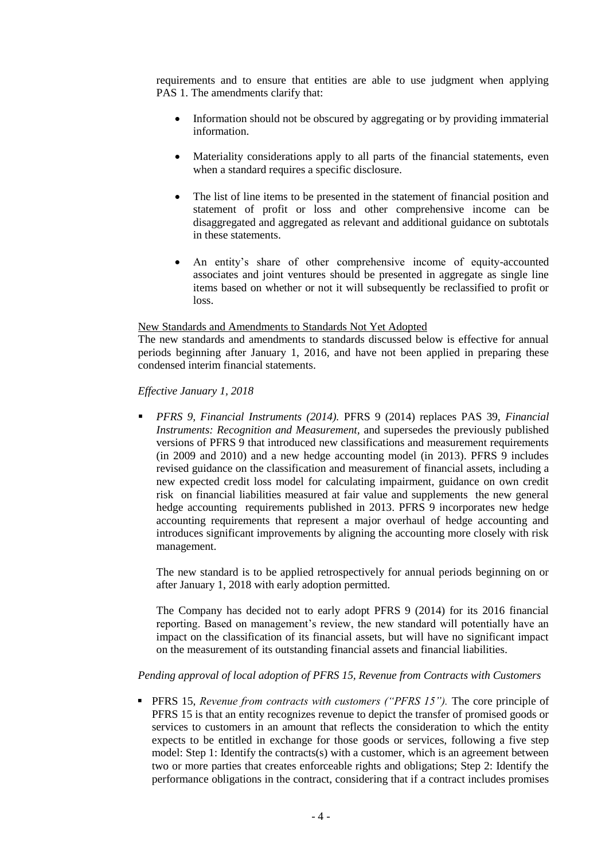requirements and to ensure that entities are able to use judgment when applying PAS 1. The amendments clarify that:

- Information should not be obscured by aggregating or by providing immaterial information.
- Materiality considerations apply to all parts of the financial statements, even when a standard requires a specific disclosure.
- The list of line items to be presented in the statement of financial position and statement of profit or loss and other comprehensive income can be disaggregated and aggregated as relevant and additional guidance on subtotals in these statements.
- An entity"s share of other comprehensive income of equity-accounted associates and joint ventures should be presented in aggregate as single line items based on whether or not it will subsequently be reclassified to profit or loss.

## New Standards and Amendments to Standards Not Yet Adopted

The new standards and amendments to standards discussed below is effective for annual periods beginning after January 1, 2016, and have not been applied in preparing these condensed interim financial statements.

## *Effective January 1, 2018*

 *PFRS 9, Financial Instruments (2014).* PFRS 9 (2014) replaces PAS 39, *Financial Instruments: Recognition and Measurement,* and supersedes the previously published versions of PFRS 9 that introduced new classifications and measurement requirements (in 2009 and 2010) and a new hedge accounting model (in 2013). PFRS 9 includes revised guidance on the classification and measurement of financial assets, including a new expected credit loss model for calculating impairment, guidance on own credit risk on financial liabilities measured at fair value and supplements the new general hedge accounting requirements published in 2013. PFRS 9 incorporates new hedge accounting requirements that represent a major overhaul of hedge accounting and introduces significant improvements by aligning the accounting more closely with risk management.

The new standard is to be applied retrospectively for annual periods beginning on or after January 1, 2018 with early adoption permitted.

The Company has decided not to early adopt PFRS 9 (2014) for its 2016 financial reporting. Based on management's review, the new standard will potentially have an impact on the classification of its financial assets, but will have no significant impact on the measurement of its outstanding financial assets and financial liabilities.

## *Pending approval of local adoption of PFRS 15, Revenue from Contracts with Customers*

 PFRS 15, *Revenue from contracts with customers ("PFRS 15").* The core principle of PFRS 15 is that an entity recognizes revenue to depict the transfer of promised goods or services to customers in an amount that reflects the consideration to which the entity expects to be entitled in exchange for those goods or services, following a five step model: Step 1: Identify the contracts(s) with a customer, which is an agreement between two or more parties that creates enforceable rights and obligations; Step 2: Identify the performance obligations in the contract, considering that if a contract includes promises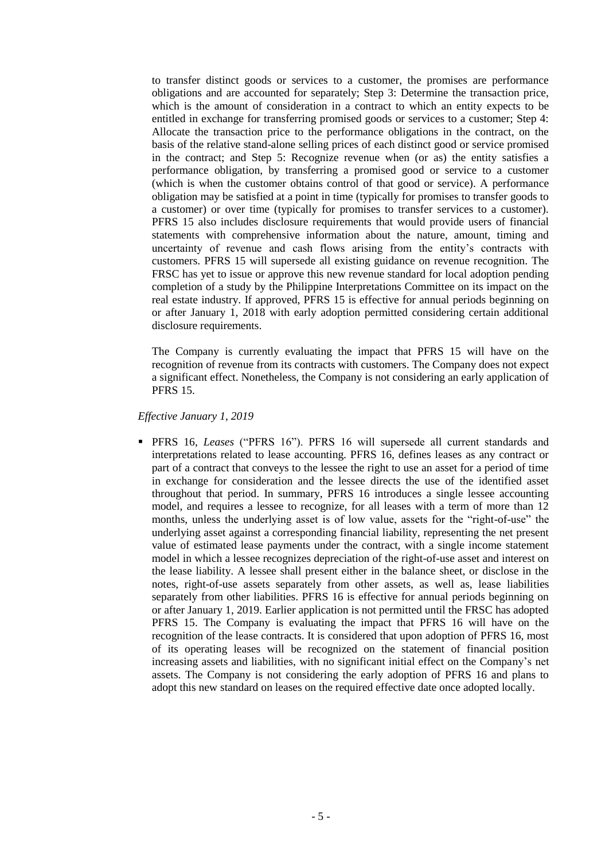to transfer distinct goods or services to a customer, the promises are performance obligations and are accounted for separately; Step 3: Determine the transaction price, which is the amount of consideration in a contract to which an entity expects to be entitled in exchange for transferring promised goods or services to a customer; Step 4: Allocate the transaction price to the performance obligations in the contract, on the basis of the relative stand-alone selling prices of each distinct good or service promised in the contract; and Step 5: Recognize revenue when (or as) the entity satisfies a performance obligation, by transferring a promised good or service to a customer (which is when the customer obtains control of that good or service). A performance obligation may be satisfied at a point in time (typically for promises to transfer goods to a customer) or over time (typically for promises to transfer services to a customer). PFRS 15 also includes disclosure requirements that would provide users of financial statements with comprehensive information about the nature, amount, timing and uncertainty of revenue and cash flows arising from the entity"s contracts with customers. PFRS 15 will supersede all existing guidance on revenue recognition. The FRSC has yet to issue or approve this new revenue standard for local adoption pending completion of a study by the Philippine Interpretations Committee on its impact on the real estate industry. If approved, PFRS 15 is effective for annual periods beginning on or after January 1, 2018 with early adoption permitted considering certain additional disclosure requirements.

The Company is currently evaluating the impact that PFRS 15 will have on the recognition of revenue from its contracts with customers. The Company does not expect a significant effect. Nonetheless, the Company is not considering an early application of PFRS 15.

#### *Effective January 1, 2019*

 PFRS 16, *Leases* ("PFRS 16"). PFRS 16 will supersede all current standards and interpretations related to lease accounting. PFRS 16, defines leases as any contract or part of a contract that conveys to the lessee the right to use an asset for a period of time in exchange for consideration and the lessee directs the use of the identified asset throughout that period. In summary, PFRS 16 introduces a single lessee accounting model, and requires a lessee to recognize, for all leases with a term of more than 12 months, unless the underlying asset is of low value, assets for the "right-of-use" the underlying asset against a corresponding financial liability, representing the net present value of estimated lease payments under the contract, with a single income statement model in which a lessee recognizes depreciation of the right-of-use asset and interest on the lease liability. A lessee shall present either in the balance sheet, or disclose in the notes, right-of-use assets separately from other assets, as well as, lease liabilities separately from other liabilities. PFRS 16 is effective for annual periods beginning on or after January 1, 2019. Earlier application is not permitted until the FRSC has adopted PFRS 15. The Company is evaluating the impact that PFRS 16 will have on the recognition of the lease contracts. It is considered that upon adoption of PFRS 16, most of its operating leases will be recognized on the statement of financial position increasing assets and liabilities, with no significant initial effect on the Company"s net assets. The Company is not considering the early adoption of PFRS 16 and plans to adopt this new standard on leases on the required effective date once adopted locally.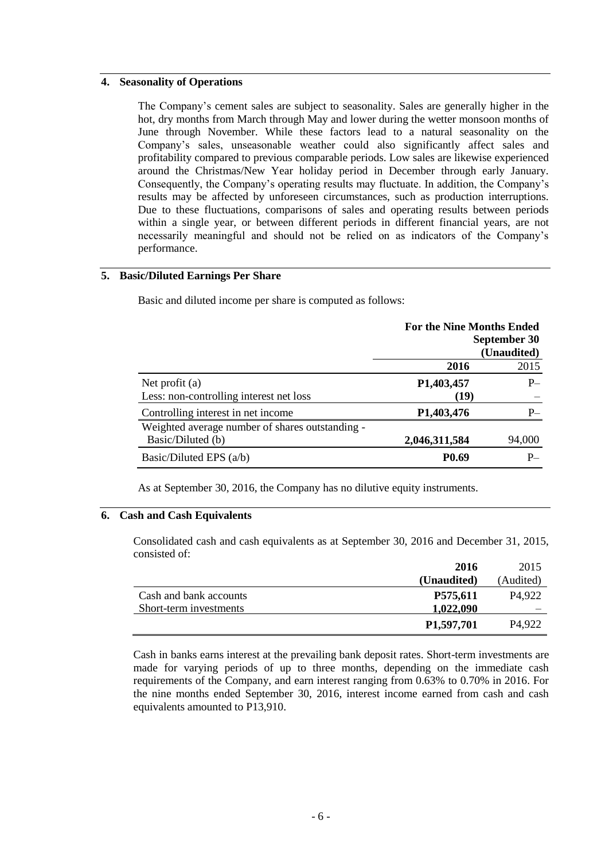## **4. Seasonality of Operations**

The Company"s cement sales are subject to seasonality. Sales are generally higher in the hot, dry months from March through May and lower during the wetter monsoon months of June through November. While these factors lead to a natural seasonality on the Company"s sales, unseasonable weather could also significantly affect sales and profitability compared to previous comparable periods. Low sales are likewise experienced around the Christmas/New Year holiday period in December through early January. Consequently, the Company's operating results may fluctuate. In addition, the Company's results may be affected by unforeseen circumstances, such as production interruptions. Due to these fluctuations, comparisons of sales and operating results between periods within a single year, or between different periods in different financial years, are not necessarily meaningful and should not be relied on as indicators of the Company"s performance.

## **5. Basic/Diluted Earnings Per Share**

Basic and diluted income per share is computed as follows:

|                                                 | <b>For the Nine Months Ended</b> |              |
|-------------------------------------------------|----------------------------------|--------------|
|                                                 |                                  | September 30 |
|                                                 |                                  | (Unaudited)  |
|                                                 | 2016                             | 2015         |
| Net profit $(a)$                                | P1,403,457                       | $P_{-}$      |
| Less: non-controlling interest net loss         | (19)                             |              |
| Controlling interest in net income              | P <sub>1</sub> ,403,476          | $P-$         |
| Weighted average number of shares outstanding - |                                  |              |
| Basic/Diluted (b)                               | 2,046,311,584                    | 94,000       |
| Basic/Diluted EPS $(a/b)$                       | P <sub>0.69</sub>                | $P-$         |

As at September 30, 2016, the Company has no dilutive equity instruments.

## **6. Cash and Cash Equivalents**

Consolidated cash and cash equivalents as at September 30, 2016 and December 31, 2015, consisted of:

|                        | 2016                    | 2015               |
|------------------------|-------------------------|--------------------|
|                        | (Unaudited)             | (Audited)          |
| Cash and bank accounts | P575,611                | P <sub>4.922</sub> |
| Short-term investments | 1,022,090               |                    |
|                        | P <sub>1</sub> ,597,701 | P4.922             |

Cash in banks earns interest at the prevailing bank deposit rates. Short-term investments are made for varying periods of up to three months, depending on the immediate cash requirements of the Company, and earn interest ranging from 0.63% to 0.70% in 2016. For the nine months ended September 30, 2016, interest income earned from cash and cash equivalents amounted to P13,910.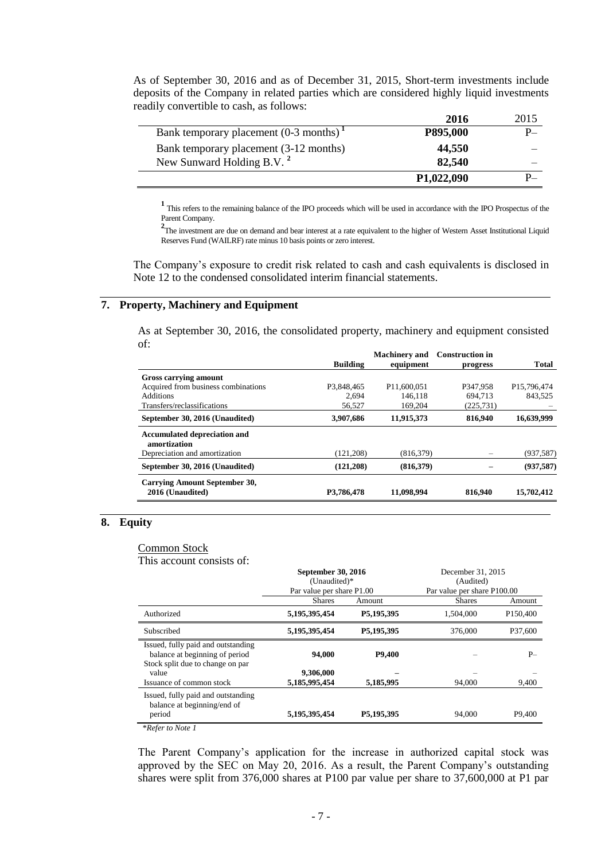As of September 30, 2016 and as of December 31, 2015, Short-term investments include deposits of the Company in related parties which are considered highly liquid investments readily convertible to cash, as follows:

|                                                      | 2016                    | 2015    |
|------------------------------------------------------|-------------------------|---------|
| Bank temporary placement $(0-3$ months) <sup>1</sup> | P895,000                | $P_{-}$ |
| Bank temporary placement (3-12 months)               | 44,550                  |         |
| New Sunward Holding B.V. <sup>2</sup>                | 82,540                  |         |
|                                                      | P <sub>1</sub> ,022,090 |         |

**<sup>1</sup>**This refers to the remaining balance of the IPO proceeds which will be used in accordance with the IPO Prospectus of the Parent Company.

<sup>2</sup>The investment are due on demand and bear interest at a rate equivalent to the higher of Western Asset Institutional Liquid Reserves Fund (WAILRF) rate minus 10 basis points or zero interest.

The Company's exposure to credit risk related to cash and cash equivalents is disclosed in Note 12 to the condensed consolidated interim financial statements.

## **7. Property, Machinery and Equipment**

As at September 30, 2016, the consolidated property, machinery and equipment consisted of:

|                                                   |                 | <b>Machinery</b> and    | <b>Construction in</b> |             |
|---------------------------------------------------|-----------------|-------------------------|------------------------|-------------|
|                                                   | <b>Building</b> | equipment               | progress               | Total       |
| <b>Gross carrying amount</b>                      |                 |                         |                        |             |
| Acquired from business combinations               | P3.848.465      | P <sub>11.600.051</sub> | P347.958               | P15,796,474 |
| <b>Additions</b>                                  | 2.694           | 146.118                 | 694.713                | 843,525     |
| Transfers/reclassifications                       | 56,527          | 169.204                 | (225, 731)             |             |
| September 30, 2016 (Unaudited)                    | 3,907,686       | 11,915,373              | 816,940                | 16,639,999  |
| Accumulated depreciation and<br>amortization      |                 |                         |                        |             |
| Depreciation and amortization                     | (121, 208)      | (816, 379)              |                        | (937, 587)  |
| September 30, 2016 (Unaudited)                    | (121, 208)      | (816,379)               |                        | (937, 587)  |
| Carrying Amount September 30,<br>2016 (Unaudited) | P3.786.478      | 11,098,994              | 816.940                | 15,702,412  |
|                                                   |                 |                         |                        |             |

## **8. Equity**

#### Common Stock

This account consists of:

|                                                                                                          | <b>September 30, 2016</b><br>(Unaudited)*<br>Par value per share P1.00 |            | December 31, 2015<br>(Audited)<br>Par value per share P100.00 |                      |
|----------------------------------------------------------------------------------------------------------|------------------------------------------------------------------------|------------|---------------------------------------------------------------|----------------------|
|                                                                                                          | <b>Shares</b>                                                          | Amount     | <b>Shares</b>                                                 | Amount               |
| Authorized                                                                                               | 5,195,395,454                                                          | P5,195,395 | 1.504.000                                                     | P <sub>150,400</sub> |
| Subscribed                                                                                               | 5,195,395,454                                                          | P5,195,395 | 376,000                                                       | P37.600              |
| Issued, fully paid and outstanding<br>balance at beginning of period<br>Stock split due to change on par | 94,000                                                                 | P9,400     |                                                               | $P-$                 |
| value                                                                                                    | 9,306,000                                                              |            |                                                               |                      |
| Issuance of common stock                                                                                 | 5,185,995,454                                                          | 5,185,995  | 94,000                                                        | 9,400                |
| Issued, fully paid and outstanding<br>balance at beginning/end of                                        |                                                                        |            |                                                               |                      |
| period                                                                                                   | 5,195,395,454                                                          | P5,195,395 | 94,000                                                        | P <sub>9.400</sub>   |

\**Refer to Note 1*

The Parent Company's application for the increase in authorized capital stock was approved by the SEC on May 20, 2016. As a result, the Parent Company"s outstanding shares were split from 376,000 shares at P100 par value per share to 37,600,000 at P1 par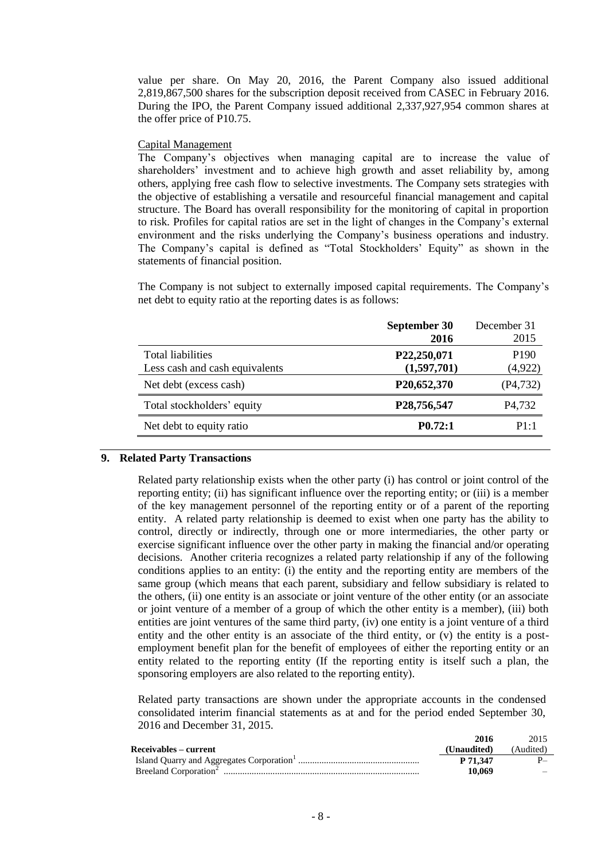value per share. On May 20, 2016, the Parent Company also issued additional 2,819,867,500 shares for the subscription deposit received from CASEC in February 2016. During the IPO, the Parent Company issued additional 2,337,927,954 common shares at the offer price of P10.75.

#### Capital Management

The Company"s objectives when managing capital are to increase the value of shareholders" investment and to achieve high growth and asset reliability by, among others, applying free cash flow to selective investments. The Company sets strategies with the objective of establishing a versatile and resourceful financial management and capital structure. The Board has overall responsibility for the monitoring of capital in proportion to risk. Profiles for capital ratios are set in the light of changes in the Company"s external environment and the risks underlying the Company"s business operations and industry. The Company's capital is defined as "Total Stockholders' Equity" as shown in the statements of financial position.

The Company is not subject to externally imposed capital requirements. The Company"s net debt to equity ratio at the reporting dates is as follows:

| September 30        | December 31         |
|---------------------|---------------------|
| 2016                | 2015                |
| P22,250,071         | P <sub>190</sub>    |
| (1,597,701)         | (4, 922)            |
| P20,652,370         | (P4, 732)           |
| P28,756,547         | P <sub>4</sub> ,732 |
| P <sub>0.72:1</sub> | P1:1                |
|                     |                     |

#### **9. Related Party Transactions**

Related party relationship exists when the other party (i) has control or joint control of the reporting entity; (ii) has significant influence over the reporting entity; or (iii) is a member of the key management personnel of the reporting entity or of a parent of the reporting entity. A related party relationship is deemed to exist when one party has the ability to control, directly or indirectly, through one or more intermediaries, the other party or exercise significant influence over the other party in making the financial and/or operating decisions. Another criteria recognizes a related party relationship if any of the following conditions applies to an entity: (i) the entity and the reporting entity are members of the same group (which means that each parent, subsidiary and fellow subsidiary is related to the others, (ii) one entity is an associate or joint venture of the other entity (or an associate or joint venture of a member of a group of which the other entity is a member), (iii) both entities are joint ventures of the same third party, (iv) one entity is a joint venture of a third entity and the other entity is an associate of the third entity, or (v) the entity is a postemployment benefit plan for the benefit of employees of either the reporting entity or an entity related to the reporting entity (If the reporting entity is itself such a plan, the sponsoring employers are also related to the reporting entity).

Related party transactions are shown under the appropriate accounts in the condensed consolidated interim financial statements as at and for the period ended September 30, 2016 and December 31, 2015.

|                       | 2016        | 2015      |
|-----------------------|-------------|-----------|
| Receivables – current | (Unaudited) | (Audited) |
|                       | P 71.347    |           |
|                       | 10.069      |           |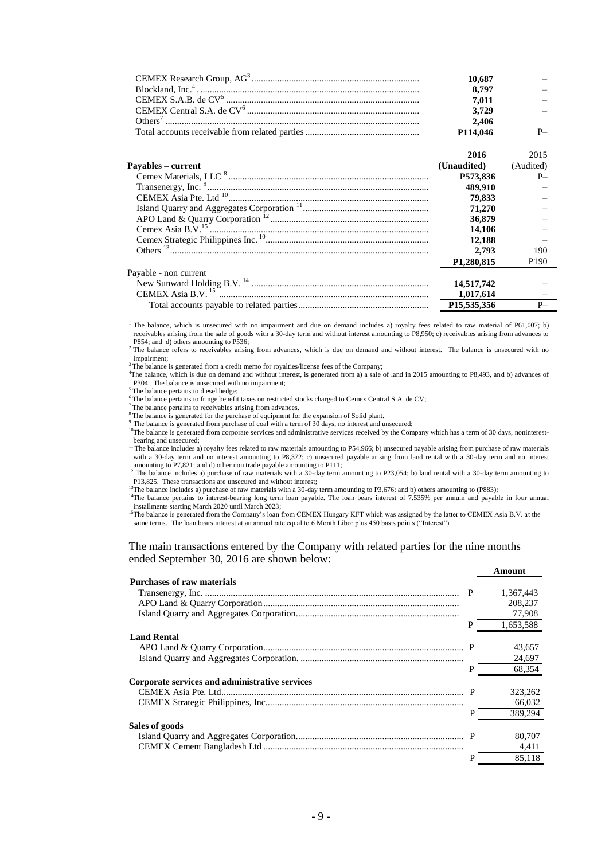| 10.687                |  |
|-----------------------|--|
| 8.797                 |  |
| 7.011                 |  |
| 3.729                 |  |
| 2.406                 |  |
| P <sub>114</sub> ,046 |  |

|                         | 2016                    | 2015             |
|-------------------------|-------------------------|------------------|
| Payables – current      | (Unaudited)             | (Audited)        |
|                         | P573.836                | $P-$             |
|                         | 489,910                 |                  |
|                         | 79,833                  |                  |
|                         | 71,270                  |                  |
|                         | 36,879                  |                  |
|                         | 14.106                  |                  |
|                         | 12.188                  |                  |
| Others $^{13}$          | 2.793                   | 190              |
|                         | P <sub>1.280</sub> .815 | P <sub>190</sub> |
| Payable - non current   |                         |                  |
|                         | 14,517,742              |                  |
| CEMEX Asia B.V. $^{15}$ | 1,017,614               |                  |
|                         | P15,535,356             | $P-$             |

<sup>1</sup> The balance, which is unsecured with no impairment and due on demand includes a) royalty fees related to raw material of P61,007; b) receivables arising from the sale of goods with a 30-day term and without interest amounting to P8,950; c) receivables arising from advances to P854; and d) others amounting to P536;

<sup>2</sup> The balance refers to receivables arising from advances, which is due on demand and without interest. The balance is unsecured with no impairment;

<sup>3</sup>The balance is generated from a credit memo for royalties/license fees of the Company;

<sup>4</sup>The balance, which is due on demand and without interest, is generated from a) a sale of land in 2015 amounting to P8,493, and b) advances of P304. The balance is unsecured with no impairment;

<sup>5</sup> The balance pertains to diesel hedge;

<sup>6</sup> The balance pertains to fringe benefit taxes on restricted stocks charged to Cemex Central S.A. de CV;

<sup>7</sup>The balance pertains to receivables arising from advances.

<sup>8</sup>The balance is generated for the purchase of equipment for the expansion of Solid plant.

<sup>9</sup> The balance is generated from purchase of coal with a term of 30 days, no interest and unsecured;

<sup>10</sup>The balance is generated from corporate services and administrative services received by the Company which has a term of 30 days, noninterestbearing and unsecured;

<sup>11</sup> The balance includes a) royalty fees related to raw materials amounting to P54,966; b) unsecured payable arising from purchase of raw materials with a 30-day term and no interest amounting to P8,372; c) unsecured payable arising from land rental with a 30-day term and no interest

amounting to P7,821; and d) other non trade payable amounting to P111;<br><sup>12</sup> The balance includes a) purchase of raw materials with a 30-day term amounting to P23,054; b) land rental with a 30-day term amounting to P13,825. These transactions are unsecured and without interest;

 $13$ The balance includes a) purchase of raw materials with a 30-day term amounting to P3,676; and b) others amounting to (P883);

<sup>14</sup>The balance pertains to interest-bearing long term loan payable. The loan bears interest of 7.535% per annum and payable in four annual installments starting March 2020 until March 2023;

**Amount**

<sup>15</sup>The balance is generated from the Company's loan from CEMEX Hungary KFT which was assigned by the latter to CEMEX Asia B.V. at the same terms. The loan bears interest at an annual rate equal to 6 Month Libor plus 450 basis points ("Interest").

The main transactions entered by the Company with related parties for the nine months ended September 30, 2016 are shown below:

|                                                |   | ашчин     |
|------------------------------------------------|---|-----------|
| <b>Purchases of raw materials</b>              |   |           |
|                                                |   | 1,367,443 |
|                                                |   | 208,237   |
|                                                |   | 77,908    |
|                                                | P | 1,653,588 |
| <b>Land Rental</b>                             |   |           |
|                                                |   | 43,657    |
|                                                |   | 24,697    |
|                                                | P | 68,354    |
| Corporate services and administrative services |   |           |
|                                                |   | 323,262   |
|                                                |   | 66,032    |
|                                                | P | 389,294   |
| Sales of goods                                 |   |           |
|                                                |   | 80,707    |
|                                                |   | 4,411     |
|                                                | P | 85.118    |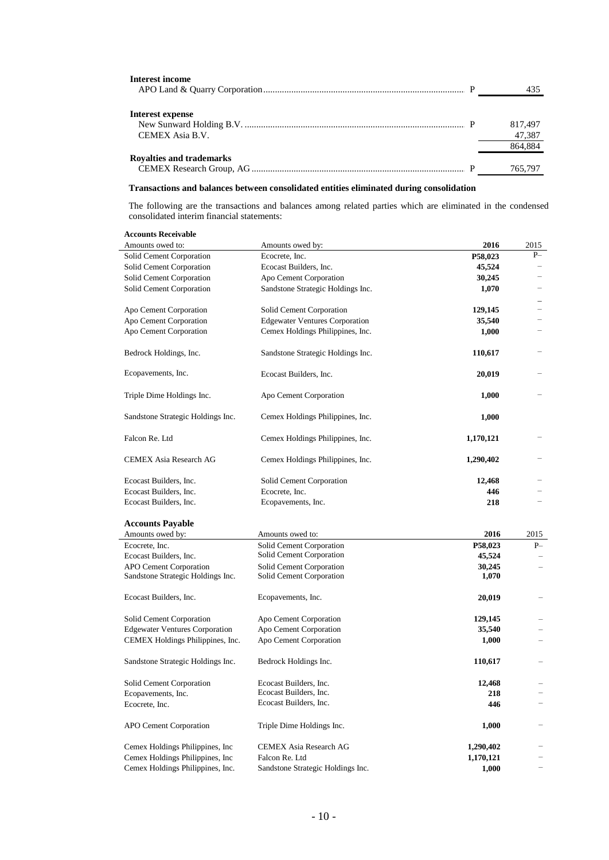| <b>Interest income</b>          |         |
|---------------------------------|---------|
|                                 | 435     |
|                                 |         |
| Interest expense                |         |
|                                 | 817.497 |
| CEMEX Asia B.V.                 | 47,387  |
|                                 | 864,884 |
| <b>Royalties and trademarks</b> |         |
|                                 | 765,797 |

### **Transactions and balances between consolidated entities eliminated during consolidation**

The following are the transactions and balances among related parties which are eliminated in the condensed consolidated interim financial statements:

| <b>Accounts Receivable</b>                                                |                                                     |                    |                          |
|---------------------------------------------------------------------------|-----------------------------------------------------|--------------------|--------------------------|
| Amounts owed to:                                                          | Amounts owed by:                                    | 2016               | 2015                     |
| Solid Cement Corporation                                                  | Ecocrete, Inc.                                      | P58,023            | $P-$                     |
| Solid Cement Corporation                                                  | Ecocast Builders, Inc.                              | 45,524             |                          |
| Solid Cement Corporation                                                  | Apo Cement Corporation                              | 30,245             |                          |
| Solid Cement Corporation                                                  | Sandstone Strategic Holdings Inc.                   | 1,070              |                          |
|                                                                           |                                                     |                    |                          |
| Apo Cement Corporation                                                    | Solid Cement Corporation                            | 129,145            | $\overline{\phantom{0}}$ |
| Apo Cement Corporation                                                    | <b>Edgewater Ventures Corporation</b>               | 35,540             |                          |
| Apo Cement Corporation                                                    | Cemex Holdings Philippines, Inc.                    | 1,000              |                          |
| Bedrock Holdings, Inc.                                                    | Sandstone Strategic Holdings Inc.                   | 110,617            |                          |
| Ecopavements, Inc.                                                        | Ecocast Builders, Inc.                              | 20,019             |                          |
| Triple Dime Holdings Inc.                                                 | Apo Cement Corporation                              | 1,000              |                          |
| Sandstone Strategic Holdings Inc.                                         | Cemex Holdings Philippines, Inc.                    | 1,000              |                          |
| Falcon Re. Ltd                                                            | Cemex Holdings Philippines, Inc.                    | 1,170,121          |                          |
| CEMEX Asia Research AG                                                    | Cemex Holdings Philippines, Inc.                    | 1,290,402          |                          |
| Ecocast Builders, Inc.                                                    | Solid Cement Corporation                            | 12,468             |                          |
| Ecocast Builders, Inc.                                                    | Ecocrete, Inc.                                      | 446                |                          |
| Ecocast Builders, Inc.                                                    | Ecopavements, Inc.                                  | 218                |                          |
|                                                                           |                                                     |                    |                          |
| <b>Accounts Payable</b>                                                   |                                                     |                    |                          |
|                                                                           |                                                     |                    |                          |
| Amounts owed by:                                                          | Amounts owed to:                                    | 2016               | 2015                     |
| Ecocrete, Inc.                                                            | Solid Cement Corporation                            | P58,023            | $P-$                     |
| Ecocast Builders, Inc.                                                    | Solid Cement Corporation                            | 45,524             |                          |
| <b>APO Cement Corporation</b>                                             | Solid Cement Corporation                            | 30,245             | $\qquad \qquad -$        |
| Sandstone Strategic Holdings Inc.                                         | Solid Cement Corporation                            | 1,070              |                          |
| Ecocast Builders, Inc.                                                    | Ecopavements, Inc.                                  | 20,019             |                          |
|                                                                           |                                                     |                    |                          |
| Solid Cement Corporation                                                  | Apo Cement Corporation                              | 129,145<br>35,540  |                          |
| <b>Edgewater Ventures Corporation</b><br>CEMEX Holdings Philippines, Inc. | Apo Cement Corporation<br>Apo Cement Corporation    | 1,000              |                          |
| Sandstone Strategic Holdings Inc.                                         | Bedrock Holdings Inc.                               | 110,617            |                          |
|                                                                           |                                                     |                    |                          |
| Solid Cement Corporation                                                  | Ecocast Builders, Inc.<br>Ecocast Builders, Inc.    | 12,468             |                          |
| Ecopavements, Inc.<br>Ecocrete, Inc.                                      | Ecocast Builders, Inc.                              | 218<br>446         |                          |
| APO Cement Corporation                                                    | Triple Dime Holdings Inc.                           | 1,000              |                          |
|                                                                           |                                                     |                    |                          |
| Cemex Holdings Philippines, Inc.                                          | CEMEX Asia Research AG                              | 1,290,402          |                          |
| Cemex Holdings Philippines, Inc<br>Cemex Holdings Philippines, Inc.       | Falcon Re. Ltd<br>Sandstone Strategic Holdings Inc. | 1,170,121<br>1,000 | -                        |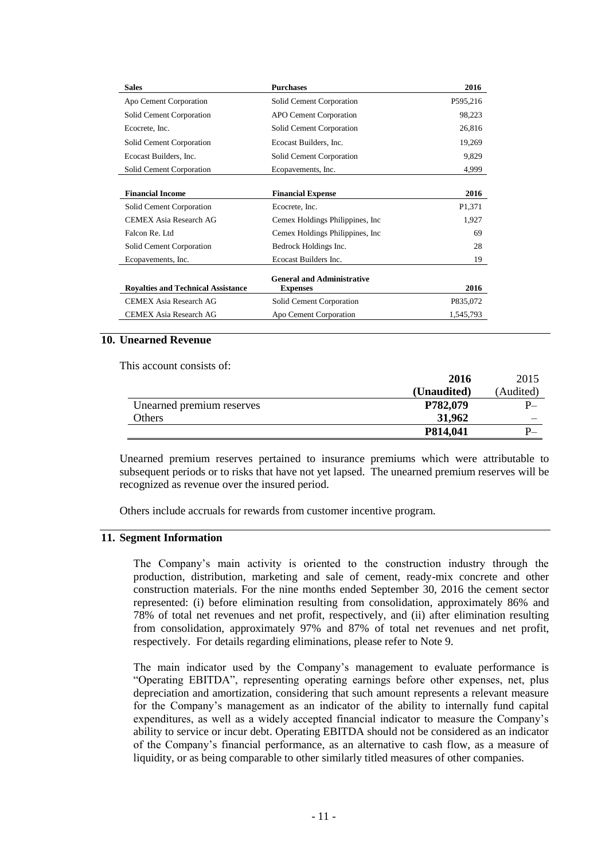| <b>Sales</b>                              | <b>Purchases</b>                  | 2016      |
|-------------------------------------------|-----------------------------------|-----------|
| Apo Cement Corporation                    | Solid Cement Corporation          | P595,216  |
| Solid Cement Corporation                  | <b>APO Cement Corporation</b>     | 98,223    |
| Ecocrete, Inc.                            | Solid Cement Corporation          | 26,816    |
| Solid Cement Corporation                  | Ecocast Builders, Inc.            | 19,269    |
| Ecocast Builders, Inc.                    | Solid Cement Corporation          | 9,829     |
| Solid Cement Corporation                  | Ecopavements, Inc.                | 4,999     |
|                                           |                                   |           |
| <b>Financial Income</b>                   | <b>Financial Expense</b>          | 2016      |
| Solid Cement Corporation                  | Ecocrete, Inc.                    | P1.371    |
| <b>CEMEX Asia Research AG</b>             | Cemex Holdings Philippines, Inc.  | 1,927     |
| Falcon Re. Ltd                            | Cemex Holdings Philippines, Inc.  | 69        |
| Solid Cement Corporation                  | Bedrock Holdings Inc.             | 28        |
| Ecopavements, Inc.                        | Ecocast Builders Inc.             | 19        |
|                                           | <b>General and Administrative</b> |           |
| <b>Royalties and Technical Assistance</b> | <b>Expenses</b>                   | 2016      |
| <b>CEMEX Asia Research AG</b>             | Solid Cement Corporation          | P835,072  |
| <b>CEMEX Asia Research AG</b>             | Apo Cement Corporation            | 1,545,793 |

#### **10. Unearned Revenue**

This account consists of

|                           | 2016        | 2015      |
|---------------------------|-------------|-----------|
|                           | (Unaudited) | (Audited) |
| Unearned premium reserves | P782,079    | P.,       |
| <b>Others</b>             | 31,962      |           |
|                           | P814,041    |           |

Unearned premium reserves pertained to insurance premiums which were attributable to subsequent periods or to risks that have not yet lapsed. The unearned premium reserves will be recognized as revenue over the insured period.

Others include accruals for rewards from customer incentive program.

## **11. Segment Information**

The Company"s main activity is oriented to the construction industry through the production, distribution, marketing and sale of cement, ready-mix concrete and other construction materials. For the nine months ended September 30, 2016 the cement sector represented: (i) before elimination resulting from consolidation, approximately 86% and 78% of total net revenues and net profit, respectively, and (ii) after elimination resulting from consolidation, approximately 97% and 87% of total net revenues and net profit, respectively. For details regarding eliminations, please refer to Note 9.

The main indicator used by the Company"s management to evaluate performance is "Operating EBITDA", representing operating earnings before other expenses, net, plus depreciation and amortization, considering that such amount represents a relevant measure for the Company"s management as an indicator of the ability to internally fund capital expenditures, as well as a widely accepted financial indicator to measure the Company"s ability to service or incur debt. Operating EBITDA should not be considered as an indicator of the Company"s financial performance, as an alternative to cash flow, as a measure of liquidity, or as being comparable to other similarly titled measures of other companies.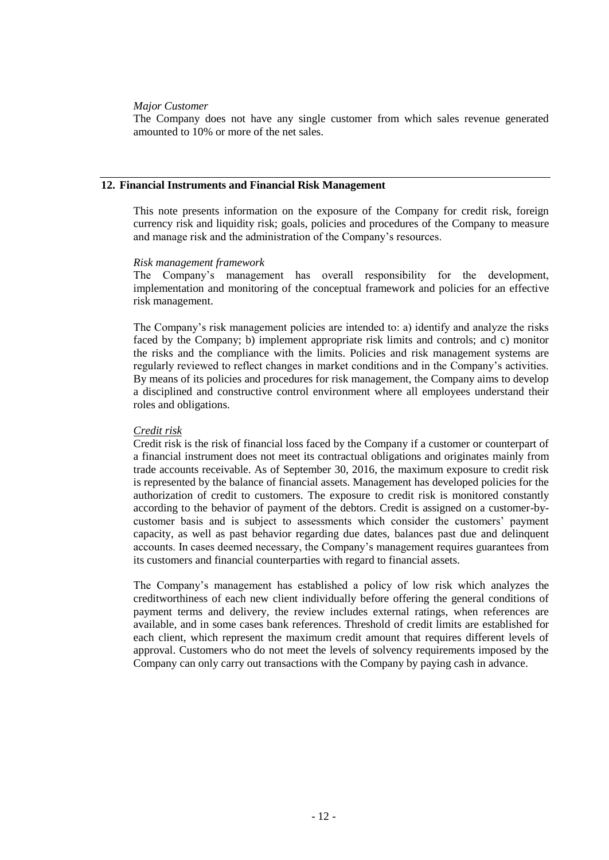## *Major Customer*

The Company does not have any single customer from which sales revenue generated amounted to 10% or more of the net sales.

#### **12. Financial Instruments and Financial Risk Management**

This note presents information on the exposure of the Company for credit risk, foreign currency risk and liquidity risk; goals, policies and procedures of the Company to measure and manage risk and the administration of the Company"s resources.

#### *Risk management framework*

The Company"s management has overall responsibility for the development, implementation and monitoring of the conceptual framework and policies for an effective risk management.

The Company"s risk management policies are intended to: a) identify and analyze the risks faced by the Company; b) implement appropriate risk limits and controls; and c) monitor the risks and the compliance with the limits. Policies and risk management systems are regularly reviewed to reflect changes in market conditions and in the Company"s activities. By means of its policies and procedures for risk management, the Company aims to develop a disciplined and constructive control environment where all employees understand their roles and obligations.

#### *Credit risk*

Credit risk is the risk of financial loss faced by the Company if a customer or counterpart of a financial instrument does not meet its contractual obligations and originates mainly from trade accounts receivable. As of September 30, 2016, the maximum exposure to credit risk is represented by the balance of financial assets. Management has developed policies for the authorization of credit to customers. The exposure to credit risk is monitored constantly according to the behavior of payment of the debtors. Credit is assigned on a customer-bycustomer basis and is subject to assessments which consider the customers" payment capacity, as well as past behavior regarding due dates, balances past due and delinquent accounts. In cases deemed necessary, the Company"s management requires guarantees from its customers and financial counterparties with regard to financial assets.

The Company"s management has established a policy of low risk which analyzes the creditworthiness of each new client individually before offering the general conditions of payment terms and delivery, the review includes external ratings, when references are available, and in some cases bank references. Threshold of credit limits are established for each client, which represent the maximum credit amount that requires different levels of approval. Customers who do not meet the levels of solvency requirements imposed by the Company can only carry out transactions with the Company by paying cash in advance.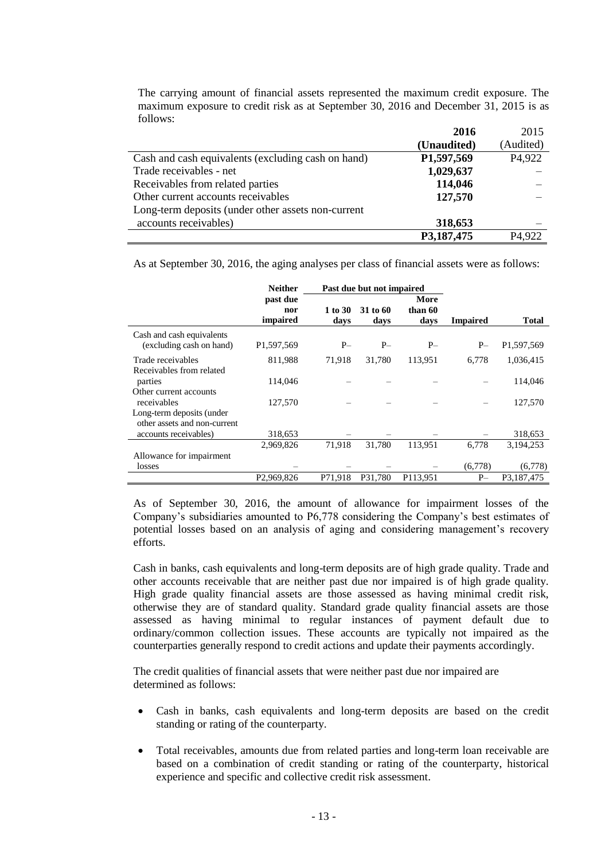The carrying amount of financial assets represented the maximum credit exposure. The maximum exposure to credit risk as at September 30, 2016 and December 31, 2015 is as follows:

|                                                    | 2016        | 2015                |
|----------------------------------------------------|-------------|---------------------|
|                                                    | (Unaudited) | (Audited)           |
| Cash and cash equivalents (excluding cash on hand) | P1,597,569  | P <sub>4</sub> ,922 |
| Trade receivables - net                            | 1,029,637   |                     |
| Receivables from related parties                   | 114,046     |                     |
| Other current accounts receivables                 | 127,570     |                     |
| Long-term deposits (under other assets non-current |             |                     |
| accounts receivables)                              | 318,653     |                     |
|                                                    | P3,187,475  | P <sub>4.922</sub>  |

As at September 30, 2016, the aging analyses per class of financial assets were as follows:

|                                                           | <b>Neither</b>              | Past due but not impaired |                  |                         |                 |              |
|-----------------------------------------------------------|-----------------------------|---------------------------|------------------|-------------------------|-----------------|--------------|
|                                                           | past due<br>nor<br>impaired | 1 to 30<br>days           | 31 to 60<br>days | More<br>than 60<br>days | <b>Impaired</b> | <b>Total</b> |
| Cash and cash equivalents<br>(excluding cash on hand)     | P1,597,569                  | $P-$                      | $P-$             | $P-$                    | $P-$            | P1,597,569   |
| Trade receivables<br>Receivables from related             | 811,988                     | 71,918                    | 31,780           | 113,951                 | 6,778           | 1,036,415    |
| parties                                                   | 114,046                     |                           |                  |                         |                 | 114,046      |
| Other current accounts<br>receivables                     | 127,570                     |                           |                  |                         |                 | 127,570      |
| Long-term deposits (under<br>other assets and non-current |                             |                           |                  |                         |                 |              |
| accounts receivables)                                     | 318,653                     |                           |                  |                         |                 | 318,653      |
|                                                           | 2,969,826                   | 71,918                    | 31,780           | 113,951                 | 6,778           | 3,194,253    |
| Allowance for impairment<br>losses                        |                             |                           |                  |                         | (6,778)         | (6,778)      |
|                                                           | P <sub>2</sub> ,969,826     | P71,918                   | P31.780          | P113,951                | $P-$            | P3,187,475   |

As of September 30, 2016, the amount of allowance for impairment losses of the Company"s subsidiaries amounted to P6,778 considering the Company"s best estimates of potential losses based on an analysis of aging and considering management's recovery efforts.

Cash in banks, cash equivalents and long-term deposits are of high grade quality. Trade and other accounts receivable that are neither past due nor impaired is of high grade quality. High grade quality financial assets are those assessed as having minimal credit risk, otherwise they are of standard quality. Standard grade quality financial assets are those assessed as having minimal to regular instances of payment default due to ordinary/common collection issues. These accounts are typically not impaired as the counterparties generally respond to credit actions and update their payments accordingly.

The credit qualities of financial assets that were neither past due nor impaired are determined as follows:

- Cash in banks, cash equivalents and long-term deposits are based on the credit standing or rating of the counterparty.
- Total receivables, amounts due from related parties and long-term loan receivable are based on a combination of credit standing or rating of the counterparty, historical experience and specific and collective credit risk assessment.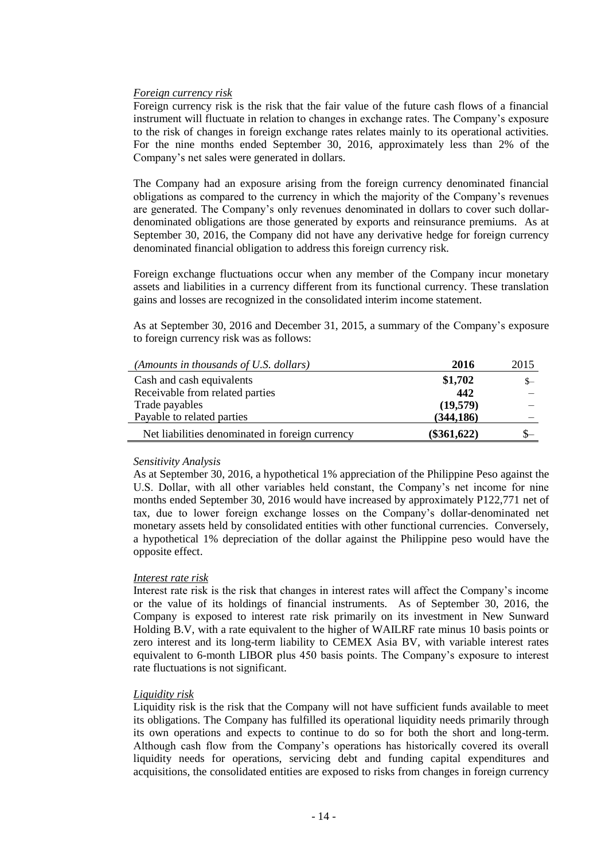## *Foreign currency risk*

Foreign currency risk is the risk that the fair value of the future cash flows of a financial instrument will fluctuate in relation to changes in exchange rates. The Company"s exposure to the risk of changes in foreign exchange rates relates mainly to its operational activities. For the nine months ended September 30, 2016, approximately less than 2% of the Company"s net sales were generated in dollars.

The Company had an exposure arising from the foreign currency denominated financial obligations as compared to the currency in which the majority of the Company"s revenues are generated. The Company"s only revenues denominated in dollars to cover such dollardenominated obligations are those generated by exports and reinsurance premiums. As at September 30, 2016, the Company did not have any derivative hedge for foreign currency denominated financial obligation to address this foreign currency risk.

Foreign exchange fluctuations occur when any member of the Company incur monetary assets and liabilities in a currency different from its functional currency. These translation gains and losses are recognized in the consolidated interim income statement.

As at September 30, 2016 and December 31, 2015, a summary of the Company"s exposure to foreign currency risk was as follows:

| (Amounts in thousands of U.S. dollars)          | 2016          | 2015 |
|-------------------------------------------------|---------------|------|
| Cash and cash equivalents                       | \$1,702       | $S-$ |
| Receivable from related parties                 | 442           |      |
| Trade payables                                  | (19,579)      |      |
| Payable to related parties                      | (344, 186)    |      |
| Net liabilities denominated in foreign currency | $(\$361,622)$ |      |

#### *Sensitivity Analysis*

As at September 30, 2016, a hypothetical 1% appreciation of the Philippine Peso against the U.S. Dollar, with all other variables held constant, the Company"s net income for nine months ended September 30, 2016 would have increased by approximately P122,771 net of tax, due to lower foreign exchange losses on the Company"s dollar-denominated net monetary assets held by consolidated entities with other functional currencies. Conversely, a hypothetical 1% depreciation of the dollar against the Philippine peso would have the opposite effect.

## *Interest rate risk*

Interest rate risk is the risk that changes in interest rates will affect the Company"s income or the value of its holdings of financial instruments. As of September 30, 2016, the Company is exposed to interest rate risk primarily on its investment in New Sunward Holding B.V, with a rate equivalent to the higher of WAILRF rate minus 10 basis points or zero interest and its long-term liability to CEMEX Asia BV, with variable interest rates equivalent to 6-month LIBOR plus 450 basis points. The Company"s exposure to interest rate fluctuations is not significant.

## *Liquidity risk*

Liquidity risk is the risk that the Company will not have sufficient funds available to meet its obligations. The Company has fulfilled its operational liquidity needs primarily through its own operations and expects to continue to do so for both the short and long-term. Although cash flow from the Company"s operations has historically covered its overall liquidity needs for operations, servicing debt and funding capital expenditures and acquisitions, the consolidated entities are exposed to risks from changes in foreign currency